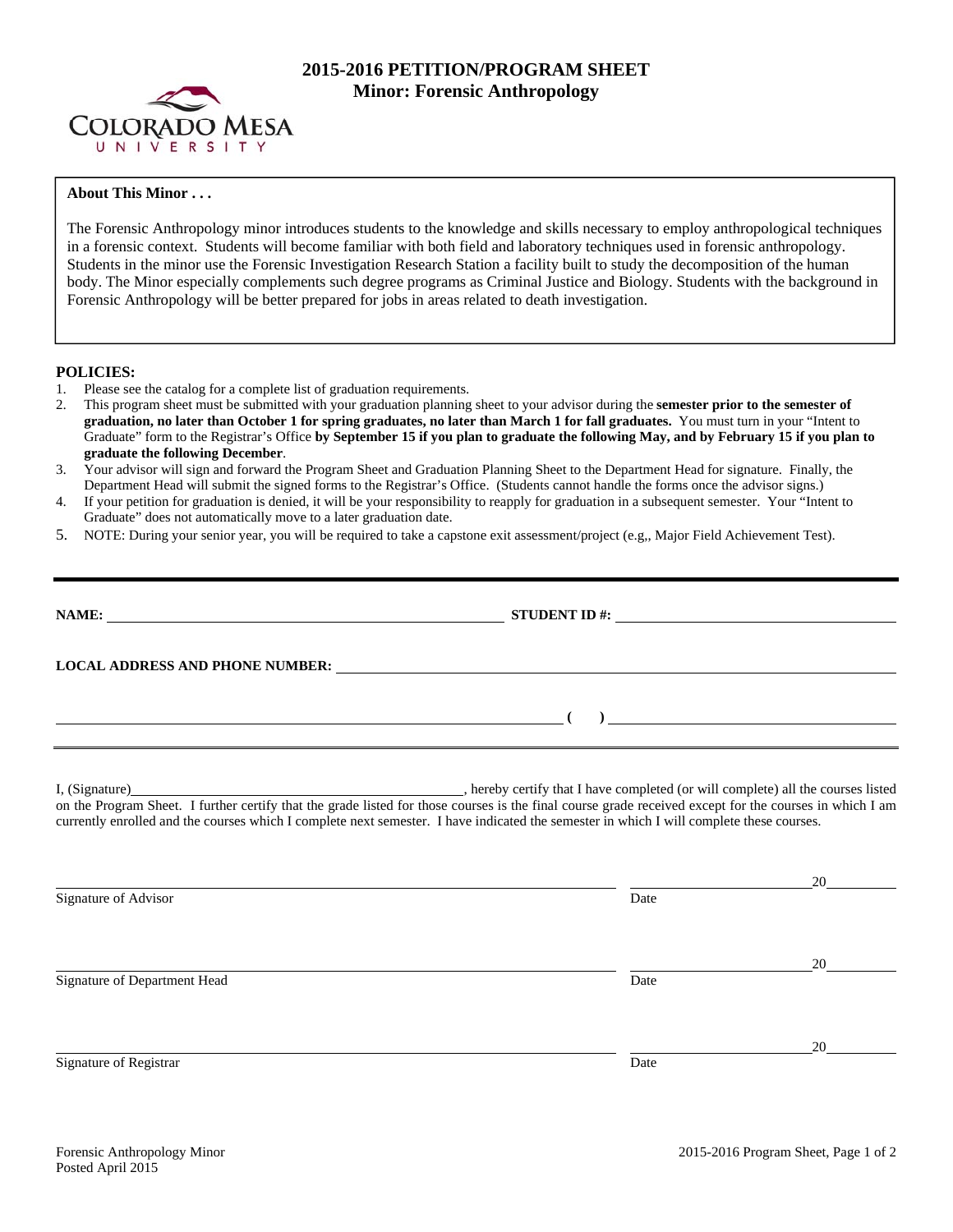

# **2015-2016 PETITION/PROGRAM SHEET Minor: Forensic Anthropology**

## **About This Minor . . .**

The Forensic Anthropology minor introduces students to the knowledge and skills necessary to employ anthropological techniques in a forensic context. Students will become familiar with both field and laboratory techniques used in forensic anthropology. Students in the minor use the Forensic Investigation Research Station a facility built to study the decomposition of the human body. The Minor especially complements such degree programs as Criminal Justice and Biology. Students with the background in Forensic Anthropology will be better prepared for jobs in areas related to death investigation.

### **POLICIES:**

- 1. Please see the catalog for a complete list of graduation requirements.
- 2. This program sheet must be submitted with your graduation planning sheet to your advisor during the **semester prior to the semester of graduation, no later than October 1 for spring graduates, no later than March 1 for fall graduates.** You must turn in your "Intent to Graduate" form to the Registrar's Office **by September 15 if you plan to graduate the following May, and by February 15 if you plan to graduate the following December**.
- 3. Your advisor will sign and forward the Program Sheet and Graduation Planning Sheet to the Department Head for signature. Finally, the Department Head will submit the signed forms to the Registrar's Office. (Students cannot handle the forms once the advisor signs.)
- 4. If your petition for graduation is denied, it will be your responsibility to reapply for graduation in a subsequent semester. Your "Intent to Graduate" does not automatically move to a later graduation date.
- 5. NOTE: During your senior year, you will be required to take a capstone exit assessment/project (e.g,, Major Field Achievement Test).

| NAME: $\qquad \qquad \qquad \textbf{STUDENT ID } #:$                                                                                                                                                                           |                                                                                                                                     |           |
|--------------------------------------------------------------------------------------------------------------------------------------------------------------------------------------------------------------------------------|-------------------------------------------------------------------------------------------------------------------------------------|-----------|
| LOCAL ADDRESS AND PHONE NUMBER: Under the contract of the contract of the contract of the contract of the contract of the contract of the contract of the contract of the contract of the contract of the contract of the cont |                                                                                                                                     |           |
| <u> 1989 - Johann Barn, amerikansk politiker (d. 1989)</u>                                                                                                                                                                     | $\overline{a}$ (b) and the contract of $\overline{a}$ (b) and the contract of $\overline{a}$ (b) and the contract of $\overline{a}$ |           |
| currently enrolled and the courses which I complete next semester. I have indicated the semester in which I will complete these courses.                                                                                       |                                                                                                                                     |           |
| Signature of Advisor                                                                                                                                                                                                           | Date                                                                                                                                |           |
| Signature of Department Head                                                                                                                                                                                                   | Date                                                                                                                                | 20 $\sim$ |
| Signature of Registrar                                                                                                                                                                                                         | Date                                                                                                                                |           |